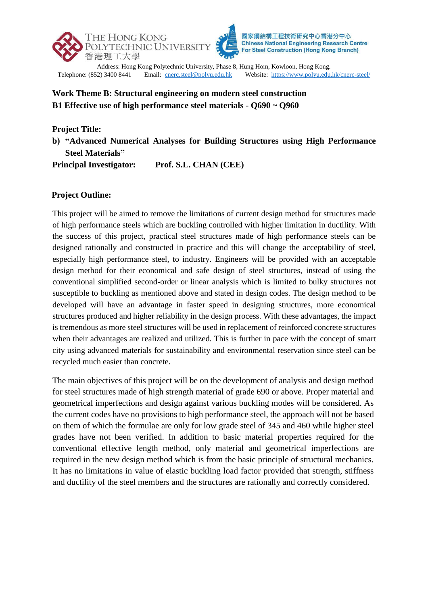

Telephone: (852) 3400 8441 Email: [cnerc.steel@polyu.edu.hk](mailto:cnerc.steel@polyu.edu.hk) Website:<https://www.polyu.edu.hk/cnerc-steel/>

## **Work Theme B: Structural engineering on modern steel construction B1 Effective use of high performance steel materials - Q690 ~ Q960**

**Project Title:** 

**b) "Advanced Numerical Analyses for Building Structures using High Performance Steel Materials"**

**Principal Investigator: Prof. S.L. CHAN (CEE)**

## **Project Outline:**

This project will be aimed to remove the limitations of current design method for structures made of high performance steels which are buckling controlled with higher limitation in ductility. With the success of this project, practical steel structures made of high performance steels can be designed rationally and constructed in practice and this will change the acceptability of steel, especially high performance steel, to industry. Engineers will be provided with an acceptable design method for their economical and safe design of steel structures, instead of using the conventional simplified second-order or linear analysis which is limited to bulky structures not susceptible to buckling as mentioned above and stated in design codes. The design method to be developed will have an advantage in faster speed in designing structures, more economical structures produced and higher reliability in the design process. With these advantages, the impact is tremendous as more steel structures will be used in replacement of reinforced concrete structures when their advantages are realized and utilized. This is further in pace with the concept of smart city using advanced materials for sustainability and environmental reservation since steel can be recycled much easier than concrete.

The main objectives of this project will be on the development of analysis and design method for steel structures made of high strength material of grade 690 or above. Proper material and geometrical imperfections and design against various buckling modes will be considered. As the current codes have no provisions to high performance steel, the approach will not be based on them of which the formulae are only for low grade steel of 345 and 460 while higher steel grades have not been verified. In addition to basic material properties required for the conventional effective length method, only material and geometrical imperfections are required in the new design method which is from the basic principle of structural mechanics. It has no limitations in value of elastic buckling load factor provided that strength, stiffness and ductility of the steel members and the structures are rationally and correctly considered.